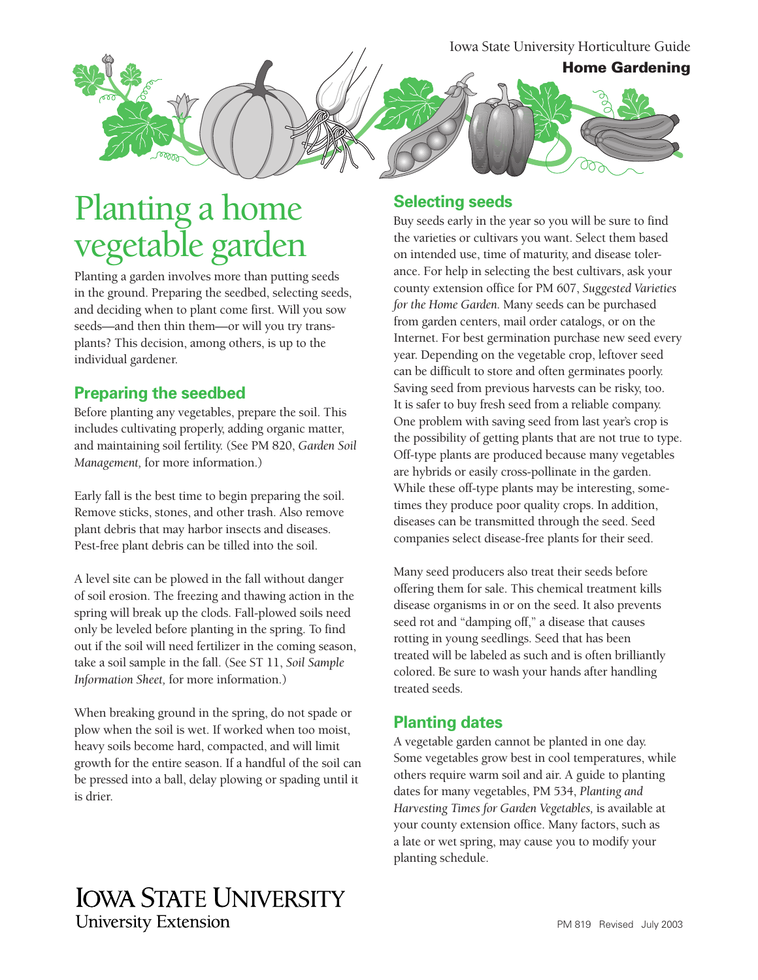Iowa State University Horticulture Guide **Home Gardening**

# Planting a home vegetable garden

Planting a garden involves more than putting seeds in the ground. Preparing the seedbed, selecting seeds, and deciding when to plant come first. Will you sow seeds—and then thin them—or will you try transplants? This decision, among others, is up to the individual gardener.

### **Preparing the seedbed**

Before planting any vegetables, prepare the soil. This includes cultivating properly, adding organic matter, and maintaining soil fertility. (See PM 820, *Garden Soil Management,* for more information.)

Early fall is the best time to begin preparing the soil. Remove sticks, stones, and other trash. Also remove plant debris that may harbor insects and diseases. Pest-free plant debris can be tilled into the soil.

A level site can be plowed in the fall without danger of soil erosion. The freezing and thawing action in the spring will break up the clods. Fall-plowed soils need only be leveled before planting in the spring. To find out if the soil will need fertilizer in the coming season, take a soil sample in the fall. (See ST 11, *Soil Sample Information Sheet,* for more information.)

When breaking ground in the spring, do not spade or plow when the soil is wet. If worked when too moist, heavy soils become hard, compacted, and will limit growth for the entire season. If a handful of the soil can be pressed into a ball, delay plowing or spading until it is drier.

### **Selecting seeds**

Buy seeds early in the year so you will be sure to find the varieties or cultivars you want. Select them based on intended use, time of maturity, and disease tolerance. For help in selecting the best cultivars, ask your county extension office for PM 607, *Suggested Varieties for the Home Garden.* Many seeds can be purchased from garden centers, mail order catalogs, or on the Internet. For best germination purchase new seed every year. Depending on the vegetable crop, leftover seed can be difficult to store and often germinates poorly. Saving seed from previous harvests can be risky, too. It is safer to buy fresh seed from a reliable company. One problem with saving seed from last year's crop is the possibility of getting plants that are not true to type. Off-type plants are produced because many vegetables are hybrids or easily cross-pollinate in the garden. While these off-type plants may be interesting, sometimes they produce poor quality crops. In addition, diseases can be transmitted through the seed. Seed companies select disease-free plants for their seed.

Many seed producers also treat their seeds before offering them for sale. This chemical treatment kills disease organisms in or on the seed. It also prevents seed rot and "damping off," a disease that causes rotting in young seedlings. Seed that has been treated will be labeled as such and is often brilliantly colored. Be sure to wash your hands after handling treated seeds.

### **Planting dates**

A vegetable garden cannot be planted in one day. Some vegetables grow best in cool temperatures, while others require warm soil and air. A guide to planting dates for many vegetables, PM 534, *Planting and Harvesting Times for Garden Vegetables,* is available at your county extension office. Many factors, such as a late or wet spring, may cause you to modify your planting schedule.

## **IOWA STATE UNIVERSITY University Extension**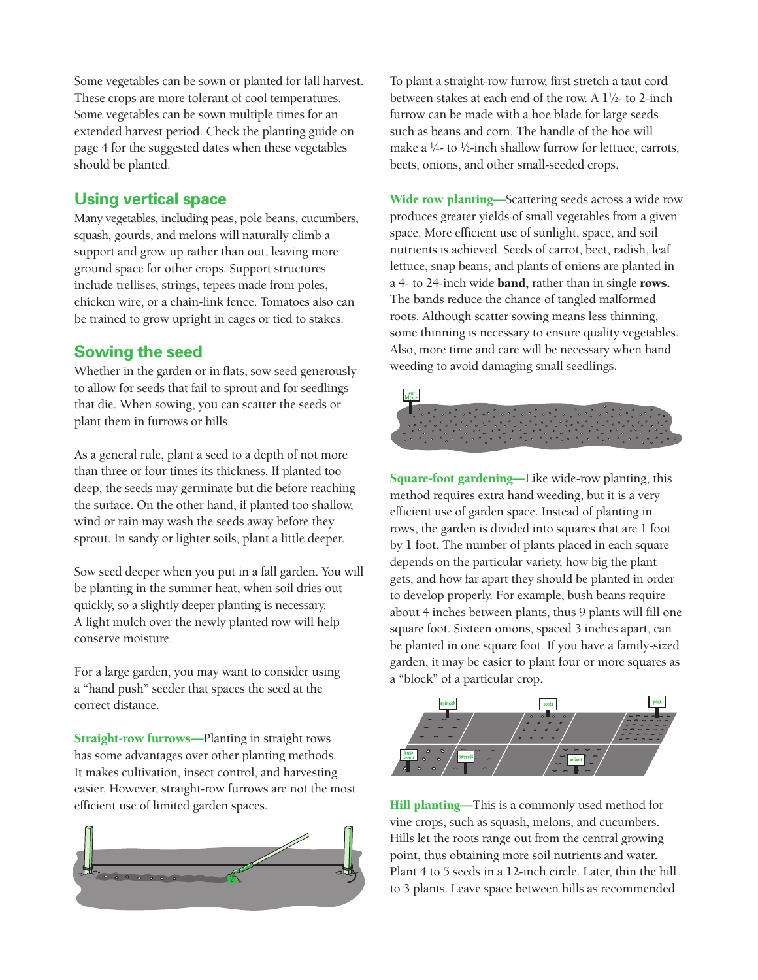Some vegetables can be sown or planted for fall harvest. These crops are more tolerant of cool temperatures. Some vegetables can be sown multiple times for an extended harvest period. Check the planting guide on page 4 for the suggested dates when these vegetables should be planted.

### **Using vertical space**

Many vegetables, including peas, pole beans, cucumbers, squash, gourds, and melons will naturally climb a support and grow up rather than out, leaving more ground space for other crops. Support structures include trellises, strings, tepees made from poles, chicken wire, or a chain-link fence. Tomatoes also can be trained to grow upright in cages or tied to stakes.

### **Sowing the seed**

Whether in the garden or in flats, sow seed generously to allow for seeds that fail to sprout and for seedlings that die. When sowing, you can scatter the seeds or plant them in furrows or hills.

As a general rule, plant a seed to a depth of not more than three or four times its thickness. If planted too deep, the seeds may germinate but die before reaching the surface. On the other hand, if planted too shallow, wind or rain may wash the seeds away before they sprout. In sandy or lighter soils, plant a little deeper.

Sow seed deeper when you put in a fall garden. You will be planting in the summer heat, when soil dries out quickly, so a slightly deeper planting is necessary. A light mulch over the newly planted row will help conserve moisture.

For a large garden, you may want to consider using a "hand push" seeder that spaces the seed at the correct distance.

Straight-row furrows—Planting in straight rows has some advantages over other planting methods. It makes cultivation, insect control, and harvesting easier. However, straight-row furrows are not the most efficient use of limited garden spaces.



To plant a straight-row furrow, first stretch a taut cord between stakes at each end of the row. A 11 ⁄2- to 2-inch furrow can be made with a hoe blade for large seeds such as beans and corn. The handle of the hoe will make a 1 ⁄4- to 1 ⁄2-inch shallow furrow for lettuce, carrots, beets, onions, and other small-seeded crops.

Wide row planting—Scattering seeds across a wide row produces greater yields of small vegetables from a given space. More efficient use of sunlight, space, and soil nutrients is achieved. Seeds of carrot, beet, radish, leaf lettuce, snap beans, and plants of onions are planted in a 4- to 24-inch wide band, rather than in single rows. The bands reduce the chance of tangled malformed roots. Although scatter sowing means less thinning, some thinning is necessary to ensure quality vegetables. Also, more time and care will be necessary when hand weeding to avoid damaging small seedlings.



Square-foot gardening—Like wide-row planting, this method requires extra hand weeding, but it is a very efficient use of garden space. Instead of planting in rows, the garden is divided into squares that are 1 foot by 1 foot. The number of plants placed in each square depends on the particular variety, how big the plant gets, and how far apart they should be planted in order to develop properly. For example, bush beans require about 4 inches between plants, thus 9 plants will fill one square foot. Sixteen onions, spaced 3 inches apart, can be planted in one square foot. If you have a family-sized garden, it may be easier to plant four or more squares as a "block" of a particular crop.



Hill planting-This is a commonly used method for vine crops, such as squash, melons, and cucumbers. Hills let the roots range out from the central growing point, thus obtaining more soil nutrients and water. Plant 4 to 5 seeds in a 12-inch circle. Later, thin the hill to 3 plants. Leave space between hills as recommended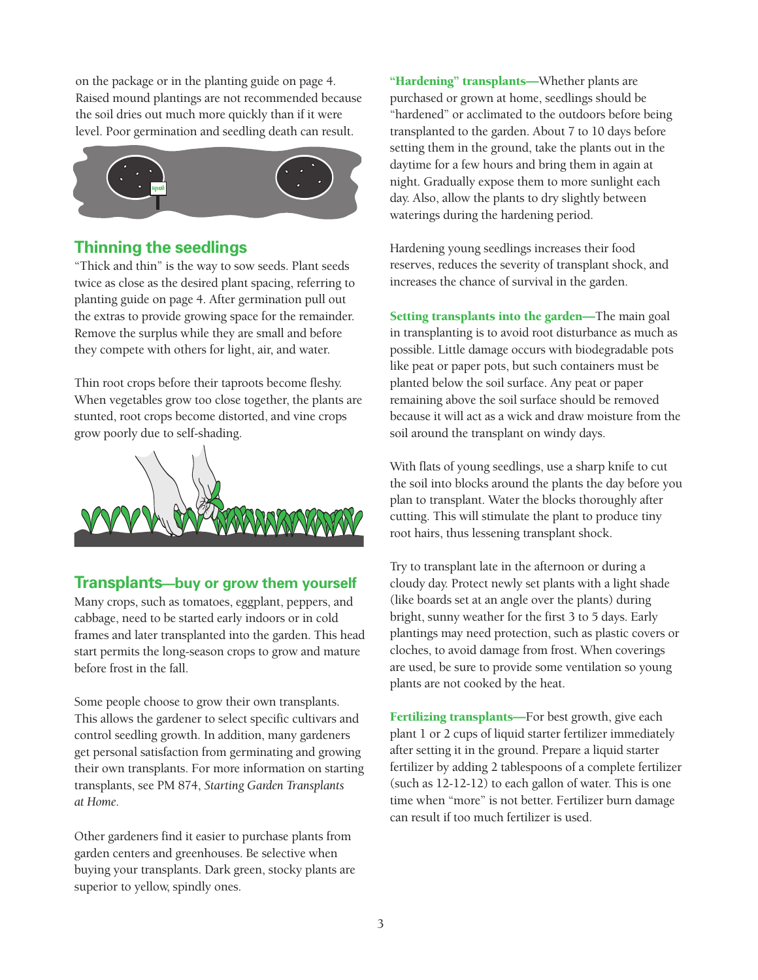on the package or in the planting guide on page 4. Raised mound plantings are not recommended because the soil dries out much more quickly than if it were level. Poor germination and seedling death can result.



### **Thinning the seedlings**

"Thick and thin" is the way to sow seeds. Plant seeds twice as close as the desired plant spacing, referring to planting guide on page 4. After germination pull out the extras to provide growing space for the remainder. Remove the surplus while they are small and before they compete with others for light, air, and water.

Thin root crops before their taproots become fleshy. When vegetables grow too close together, the plants are stunted, root crops become distorted, and vine crops grow poorly due to self-shading.



### **Transplants—buy or grow them yourself**

Many crops, such as tomatoes, eggplant, peppers, and cabbage, need to be started early indoors or in cold frames and later transplanted into the garden. This head start permits the long-season crops to grow and mature before frost in the fall.

Some people choose to grow their own transplants. This allows the gardener to select specific cultivars and control seedling growth. In addition, many gardeners get personal satisfaction from germinating and growing their own transplants. For more information on starting transplants, see PM 874, *Starting Garden Transplants at Home.*

Other gardeners find it easier to purchase plants from garden centers and greenhouses. Be selective when buying your transplants. Dark green, stocky plants are superior to yellow, spindly ones.

"Hardening" transplants—Whether plants are purchased or grown at home, seedlings should be "hardened" or acclimated to the outdoors before being transplanted to the garden. About 7 to 10 days before setting them in the ground, take the plants out in the daytime for a few hours and bring them in again at night. Gradually expose them to more sunlight each day. Also, allow the plants to dry slightly between waterings during the hardening period.

Hardening young seedlings increases their food reserves, reduces the severity of transplant shock, and increases the chance of survival in the garden.

Setting transplants into the garden—The main goal in transplanting is to avoid root disturbance as much as possible. Little damage occurs with biodegradable pots like peat or paper pots, but such containers must be planted below the soil surface. Any peat or paper remaining above the soil surface should be removed because it will act as a wick and draw moisture from the soil around the transplant on windy days.

With flats of young seedlings, use a sharp knife to cut the soil into blocks around the plants the day before you plan to transplant. Water the blocks thoroughly after cutting. This will stimulate the plant to produce tiny root hairs, thus lessening transplant shock.

Try to transplant late in the afternoon or during a cloudy day. Protect newly set plants with a light shade (like boards set at an angle over the plants) during bright, sunny weather for the first 3 to 5 days. Early plantings may need protection, such as plastic covers or cloches, to avoid damage from frost. When coverings are used, be sure to provide some ventilation so young plants are not cooked by the heat.

Fertilizing transplants—For best growth, give each plant 1 or 2 cups of liquid starter fertilizer immediately after setting it in the ground. Prepare a liquid starter fertilizer by adding 2 tablespoons of a complete fertilizer (such as 12-12-12) to each gallon of water. This is one time when "more" is not better. Fertilizer burn damage can result if too much fertilizer is used.